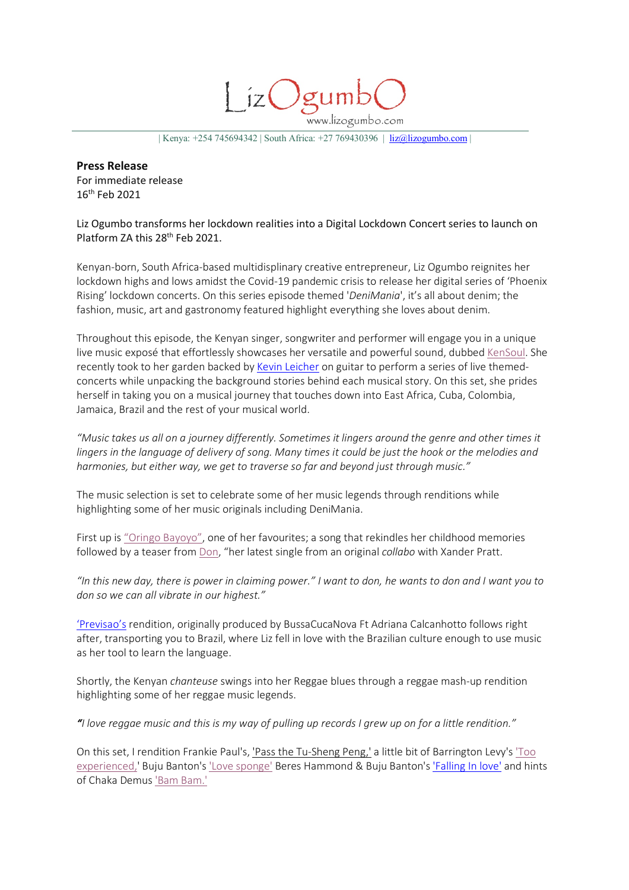www.lizogumbo.com

| Kenya: +254 745694342 | South Africa: +27 769430396 | liz@lizogumbo.com |

**Press Release** For immediate release 16th Feb 2021

Liz Ogumbo transforms her lockdown realities into a Digital Lockdown Concert series to launch on Platform ZA this 28<sup>th</sup> Feb 2021.

Kenyan-born, South Africa-based multidisplinary creative entrepreneur, Liz Ogumbo reignites her lockdown highs and lows amidst the Covid-19 pandemic crisis to release her digital series of 'Phoenix Rising' lockdown concerts. On this series episode themed '*DeniMania*', it's all about denim; the fashion, music, art and gastronomy featured highlight everything she loves about denim.

Throughout this episode, the Kenyan singer, songwriter and performer will engage you in a unique live music exposé that effortlessly showcases her versatile and powerful sound, dubbed KenSoul. She recently took to her garden backed by Kevin Leicher on guitar to perform a series of live themedconcerts while unpacking the background stories behind each musical story. On this set, she prides herself in taking you on a musical journey that touches down into East Africa, Cuba, Colombia, Jamaica, Brazil and the rest of your musical world.

*"Music takes us all on a journey differently. Sometimes it lingers around the genre and other times it lingers in the language of delivery of song. Many times it could be just the hook or the melodies and harmonies, but either way, we get to traverse so far and beyond just through music."*

The music selection is set to celebrate some of her music legends through renditions while highlighting some of her music originals including DeniMania.

First up is "Oringo Bayoyo", one of her favourites; a song that rekindles her childhood memories followed by a teaser from Don, "her latest single from an original *collabo* with Xander Pratt.

*"In this new day, there is power in claiming power." I want to don, he wants to don and I want you to don so we can all vibrate in our highest."*

'Previsao's rendition, originally produced by BussaCucaNova Ft Adriana Calcanhotto follows right after, transporting you to Brazil, where Liz fell in love with the Brazilian culture enough to use music as her tool to learn the language.

Shortly, the Kenyan *chanteuse* swings into her Reggae blues through a reggae mash-up rendition highlighting some of her reggae music legends.

*"I love reggae music and this is my way of pulling up records I grew up on for a little rendition."*

On this set, I rendition Frankie Paul's, 'Pass the Tu-Sheng Peng,' a little bit of Barrington Levy's 'Too experienced,' Buju Banton's 'Love sponge' Beres Hammond & Buju Banton's 'Falling In love' and hints of Chaka Demus 'Bam Bam.'